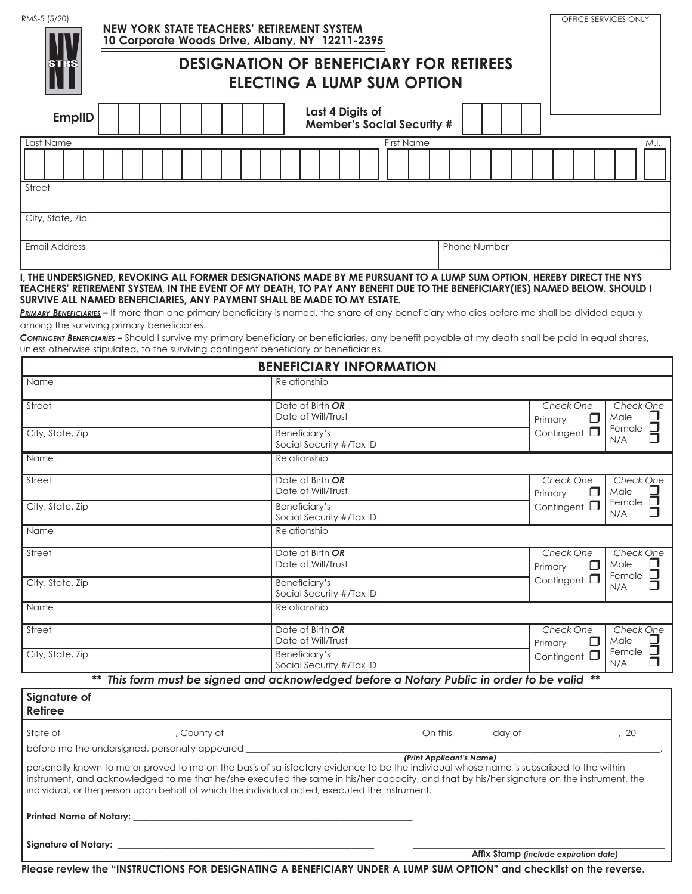| RMS-5 (5/20)                                                                                                                                                                                                                                                                                                                                                                                                                                                                                                                                                                                                                                                                            |                                                       |                                                                                     |  |  |  |  | NEW YORK STATE TEACHERS' RETIREMENT SYSTEM<br>10 Corporate Woods Drive, Albany, NY 12211-2395 |            |                                        |               |                                        |                                        |  |         |           |   |                          |                      |                             |                                |                      |                       |                        |                                       | OFFICE SERVICES ONLY |                                            |     |   |  |
|-----------------------------------------------------------------------------------------------------------------------------------------------------------------------------------------------------------------------------------------------------------------------------------------------------------------------------------------------------------------------------------------------------------------------------------------------------------------------------------------------------------------------------------------------------------------------------------------------------------------------------------------------------------------------------------------|-------------------------------------------------------|-------------------------------------------------------------------------------------|--|--|--|--|-----------------------------------------------------------------------------------------------|------------|----------------------------------------|---------------|----------------------------------------|----------------------------------------|--|---------|-----------|---|--------------------------|----------------------|-----------------------------|--------------------------------|----------------------|-----------------------|------------------------|---------------------------------------|----------------------|--------------------------------------------|-----|---|--|
|                                                                                                                                                                                                                                                                                                                                                                                                                                                                                                                                                                                                                                                                                         |                                                       | <b>DESIGNATION OF BENEFICIARY FOR RETIREES</b><br><b>ELECTING A LUMP SUM OPTION</b> |  |  |  |  |                                                                                               |            |                                        |               |                                        |                                        |  |         |           |   |                          |                      |                             |                                |                      |                       |                        |                                       |                      |                                            |     |   |  |
| <b>EmplID</b>                                                                                                                                                                                                                                                                                                                                                                                                                                                                                                                                                                                                                                                                           | Last 4 Digits of<br><b>Member's Social Security #</b> |                                                                                     |  |  |  |  |                                                                                               |            |                                        |               |                                        |                                        |  |         |           |   |                          |                      |                             |                                |                      |                       |                        |                                       |                      |                                            |     |   |  |
| Last Name                                                                                                                                                                                                                                                                                                                                                                                                                                                                                                                                                                                                                                                                               |                                                       |                                                                                     |  |  |  |  |                                                                                               | First Name |                                        |               |                                        |                                        |  |         |           |   |                          |                      |                             | M.I.                           |                      |                       |                        |                                       |                      |                                            |     |   |  |
|                                                                                                                                                                                                                                                                                                                                                                                                                                                                                                                                                                                                                                                                                         |                                                       |                                                                                     |  |  |  |  |                                                                                               |            |                                        |               |                                        |                                        |  |         |           |   |                          |                      |                             |                                |                      |                       |                        |                                       |                      |                                            |     |   |  |
| Street                                                                                                                                                                                                                                                                                                                                                                                                                                                                                                                                                                                                                                                                                  |                                                       |                                                                                     |  |  |  |  |                                                                                               |            |                                        |               |                                        |                                        |  |         |           |   |                          |                      |                             |                                |                      |                       |                        |                                       |                      |                                            |     |   |  |
| City, State, Zip                                                                                                                                                                                                                                                                                                                                                                                                                                                                                                                                                                                                                                                                        |                                                       |                                                                                     |  |  |  |  |                                                                                               |            |                                        |               |                                        |                                        |  |         |           |   |                          |                      |                             |                                |                      |                       |                        |                                       |                      |                                            |     |   |  |
| <b>Email Address</b>                                                                                                                                                                                                                                                                                                                                                                                                                                                                                                                                                                                                                                                                    | Phone Number                                          |                                                                                     |  |  |  |  |                                                                                               |            |                                        |               |                                        |                                        |  |         |           |   |                          |                      |                             |                                |                      |                       |                        |                                       |                      |                                            |     |   |  |
| I, THE UNDERSIGNED, REVOKING ALL FORMER DESIGNATIONS MADE BY ME PURSUANT TO A LUMP SUM OPTION, HEREBY DIRECT THE NYS<br>TEACHERS' RETIREMENT SYSTEM, IN THE EVENT OF MY DEATH, TO PAY ANY BENEFIT DUE TO THE BENEFICIARY(IES) NAMED BELOW. SHOULD I<br>SURVIVE ALL NAMED BENEFICIARIES, ANY PAYMENT SHALL BE MADE TO MY ESTATE.<br>PRIMARY BENEFICIARIES - If more than one primary beneficiary is named, the share of any beneficiary who dies before me shall be divided equally<br>among the surviving primary beneficiaries.<br>CONTINGENT BENEFICIARIES - Should I survive my primary beneficiary or beneficiaries, any benefit payable at my death shall be paid in equal shares, |                                                       |                                                                                     |  |  |  |  |                                                                                               |            |                                        |               |                                        |                                        |  |         |           |   |                          |                      |                             |                                |                      |                       |                        |                                       |                      |                                            |     |   |  |
| unless otherwise stipulated, to the surviving contingent beneficiary or beneficiaries.                                                                                                                                                                                                                                                                                                                                                                                                                                                                                                                                                                                                  |                                                       |                                                                                     |  |  |  |  |                                                                                               |            |                                        |               |                                        | <b>BENEFICIARY INFORMATION</b>         |  |         |           |   |                          |                      |                             |                                |                      |                       |                        |                                       |                      |                                            |     |   |  |
| Name                                                                                                                                                                                                                                                                                                                                                                                                                                                                                                                                                                                                                                                                                    |                                                       |                                                                                     |  |  |  |  |                                                                                               |            |                                        | Relationship  |                                        |                                        |  |         |           |   |                          |                      |                             |                                |                      |                       |                        |                                       |                      |                                            |     |   |  |
| Street                                                                                                                                                                                                                                                                                                                                                                                                                                                                                                                                                                                                                                                                                  |                                                       |                                                                                     |  |  |  |  |                                                                                               |            |                                        |               | Date of Birth OR<br>Date of Will/Trust |                                        |  |         |           |   |                          |                      |                             | Check One<br>$\Box$<br>Primary |                      |                       | Check One<br>Male<br>ப |                                       |                      |                                            |     |   |  |
| City, State, Zip                                                                                                                                                                                                                                                                                                                                                                                                                                                                                                                                                                                                                                                                        | Beneficiary's<br>Social Security #/Tax ID             |                                                                                     |  |  |  |  |                                                                                               |            |                                        |               |                                        |                                        |  |         |           |   | Contingent $\square$     |                      | N/A                         | Female $\square$<br>П          |                      |                       |                        |                                       |                      |                                            |     |   |  |
| Name                                                                                                                                                                                                                                                                                                                                                                                                                                                                                                                                                                                                                                                                                    | Relationship                                          |                                                                                     |  |  |  |  |                                                                                               |            |                                        |               |                                        |                                        |  |         |           |   |                          |                      |                             |                                |                      |                       |                        |                                       |                      |                                            |     |   |  |
| Street                                                                                                                                                                                                                                                                                                                                                                                                                                                                                                                                                                                                                                                                                  | Date of Birth OR<br>Date of Will/Trust                |                                                                                     |  |  |  |  |                                                                                               |            |                                        |               |                                        |                                        |  | Primary | Check One | П |                          | Male                 | Check One                   |                                |                      |                       |                        |                                       |                      |                                            |     |   |  |
| City, State, Zip                                                                                                                                                                                                                                                                                                                                                                                                                                                                                                                                                                                                                                                                        |                                                       | Beneficiary's<br>Social Security #/Tax ID                                           |  |  |  |  |                                                                                               |            |                                        |               |                                        |                                        |  |         |           |   |                          | Contingent $\square$ |                             |                                | N/A                  | Female $\square$<br>П |                        |                                       |                      |                                            |     |   |  |
| <b>Name</b>                                                                                                                                                                                                                                                                                                                                                                                                                                                                                                                                                                                                                                                                             | Relationship                                          |                                                                                     |  |  |  |  |                                                                                               |            |                                        |               |                                        |                                        |  |         |           |   |                          |                      |                             |                                |                      |                       |                        |                                       |                      |                                            |     |   |  |
| Street                                                                                                                                                                                                                                                                                                                                                                                                                                                                                                                                                                                                                                                                                  |                                                       |                                                                                     |  |  |  |  |                                                                                               |            | Date of Birth OR<br>Date of Will/Trust |               |                                        |                                        |  |         |           |   |                          | Primary              | Check One<br>Male<br>$\Box$ |                                |                      | Check One             |                        |                                       |                      |                                            |     |   |  |
| City, State, Zip                                                                                                                                                                                                                                                                                                                                                                                                                                                                                                                                                                                                                                                                        |                                                       |                                                                                     |  |  |  |  | Beneficiary's                                                                                 |            | Social Security #/Tax ID               |               |                                        |                                        |  |         |           |   |                          |                      |                             |                                | Contingent $\square$ |                       |                        | N/A                                   | Female $\Box$<br>ш   |                                            |     |   |  |
| <b>Name</b>                                                                                                                                                                                                                                                                                                                                                                                                                                                                                                                                                                                                                                                                             |                                                       |                                                                                     |  |  |  |  |                                                                                               |            |                                        | Relationship  |                                        |                                        |  |         |           |   |                          |                      |                             |                                |                      |                       |                        |                                       |                      |                                            |     |   |  |
| Street                                                                                                                                                                                                                                                                                                                                                                                                                                                                                                                                                                                                                                                                                  |                                                       |                                                                                     |  |  |  |  |                                                                                               |            |                                        |               |                                        | Date of Birth OR<br>Date of Will/Trust |  |         |           |   |                          |                      |                             |                                |                      |                       | Primary                | Check One                             |                      | Check One<br>Male<br>⊔<br>Female $\square$ |     |   |  |
| City, State, Zip                                                                                                                                                                                                                                                                                                                                                                                                                                                                                                                                                                                                                                                                        |                                                       |                                                                                     |  |  |  |  |                                                                                               |            |                                        | Beneficiary's |                                        | Social Security #/Tax ID               |  |         |           |   |                          |                      |                             |                                |                      |                       |                        | Contingent $\square$                  |                      |                                            | N/A | П |  |
|                                                                                                                                                                                                                                                                                                                                                                                                                                                                                                                                                                                                                                                                                         |                                                       |                                                                                     |  |  |  |  | ** This form must be signed and acknowledged before a Notary Public in order to be valid **   |            |                                        |               |                                        |                                        |  |         |           |   |                          |                      |                             |                                |                      |                       |                        |                                       |                      |                                            |     |   |  |
| Signature of<br><b>Retiree</b>                                                                                                                                                                                                                                                                                                                                                                                                                                                                                                                                                                                                                                                          |                                                       |                                                                                     |  |  |  |  |                                                                                               |            |                                        |               |                                        |                                        |  |         |           |   |                          |                      |                             |                                |                      |                       |                        |                                       |                      |                                            |     |   |  |
|                                                                                                                                                                                                                                                                                                                                                                                                                                                                                                                                                                                                                                                                                         |                                                       |                                                                                     |  |  |  |  |                                                                                               |            |                                        |               |                                        |                                        |  |         |           |   |                          |                      |                             |                                |                      |                       |                        |                                       |                      |                                            |     |   |  |
| before me the undersigned, personally appeared _________________________________<br>personally known to me or proved to me on the basis of satisfactory evidence to be the individual whose name is subscribed to the within<br>instrument, and acknowledged to me that he/she executed the same in his/her capacity, and that by his/her signature on the instrument, the<br>individual, or the person upon behalf of which the individual acted, executed the instrument.                                                                                                                                                                                                             |                                                       |                                                                                     |  |  |  |  |                                                                                               |            |                                        |               |                                        |                                        |  |         |           |   | (Print Applicant's Name) |                      |                             |                                |                      |                       |                        |                                       |                      |                                            |     |   |  |
| Printed Name of Notary: New York and September 2014 and 2014 and 2014 and 2014 and 2014 and 2014 and 2014 and                                                                                                                                                                                                                                                                                                                                                                                                                                                                                                                                                                           |                                                       |                                                                                     |  |  |  |  |                                                                                               |            |                                        |               |                                        |                                        |  |         |           |   |                          |                      |                             |                                |                      |                       |                        |                                       |                      |                                            |     |   |  |
|                                                                                                                                                                                                                                                                                                                                                                                                                                                                                                                                                                                                                                                                                         |                                                       |                                                                                     |  |  |  |  |                                                                                               |            |                                        |               |                                        |                                        |  |         |           |   |                          |                      |                             |                                |                      |                       |                        | Affix Stamp (include expiration date) |                      |                                            |     |   |  |

**Please review the "INSTRUCTIONS FOR DESIGNATING A BENEFICIARY UNDER A LUMP SUM OPTION" and checklist on the reverse.**